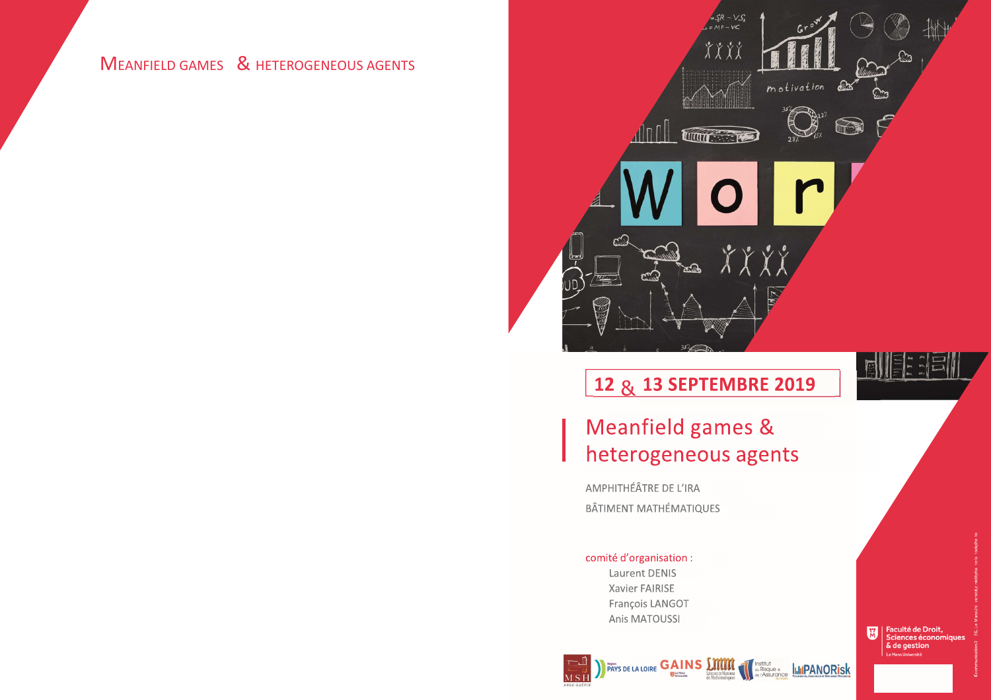# **MEANFIELD GAMES & HETEROGENEOUS AGENTS**





# 12 & 13 SEPTEMBRE 2019

# Meanfield games & heterogeneous agents

AMPHITHÉÂTRE DE L'IRA **BÂTIMENT MATHÉMATIQUES** 

### comité d'organisation : Laurent DENIS Xavier FAIRISE

François LANGOT Anis MATOUSSI



Faculté de Droit,<br>Sciences économiques & de gestion Le Mans Uni

**Institut and Risque & ILLIPANORisk**